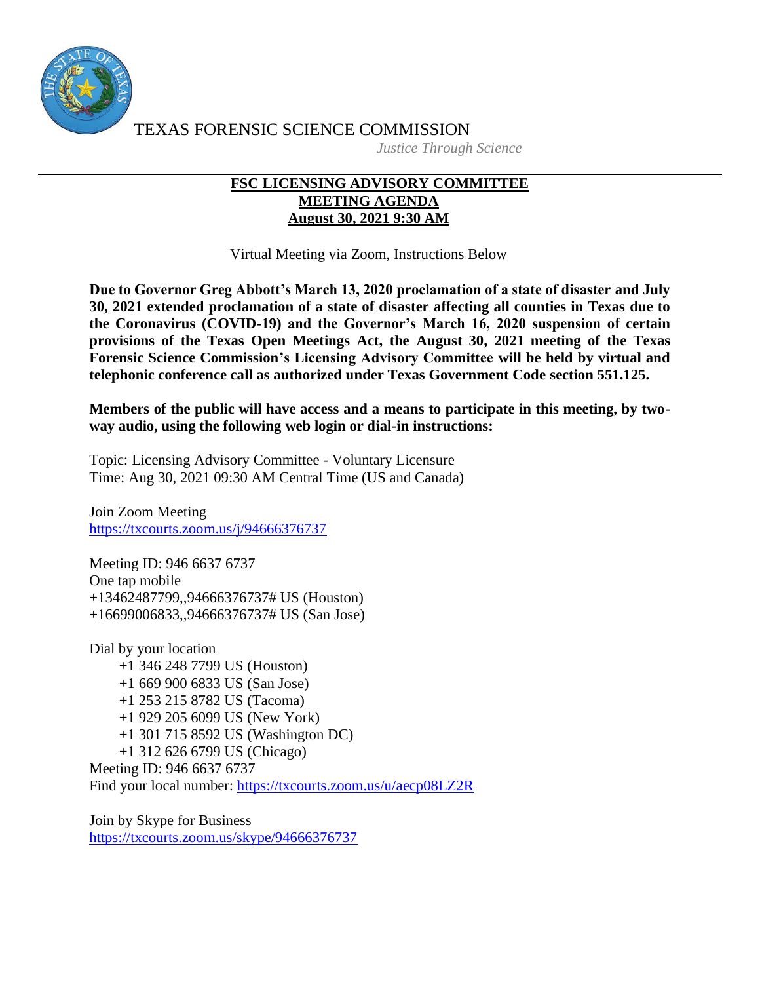

TEXAS FORENSIC SCIENCE COMMISSION *Justice Through Science*

## **FSC LICENSING ADVISORY COMMITTEE MEETING AGENDA August 30, 2021 9:30 AM**

Virtual Meeting via Zoom, Instructions Below

**Due to Governor Greg Abbott's March 13, 2020 proclamation of a state of disaster and July 30, 2021 extended proclamation of a state of disaster affecting all counties in Texas due to the Coronavirus (COVID-19) and the Governor's March 16, 2020 suspension of certain provisions of the Texas Open Meetings Act, the August 30, 2021 meeting of the Texas Forensic Science Commission's Licensing Advisory Committee will be held by virtual and telephonic conference call as authorized under Texas Government Code section 551.125.**

**Members of the public will have access and a means to participate in this meeting, by twoway audio, using the following web login or dial-in instructions:**

Topic: Licensing Advisory Committee - Voluntary Licensure Time: Aug 30, 2021 09:30 AM Central Time (US and Canada)

Join Zoom Meeting <https://txcourts.zoom.us/j/94666376737>

Meeting ID: 946 6637 6737 One tap mobile +13462487799,,94666376737# US (Houston) +16699006833,,94666376737# US (San Jose)

Dial by your location +1 346 248 7799 US (Houston) +1 669 900 6833 US (San Jose) +1 253 215 8782 US (Tacoma) +1 929 205 6099 US (New York) +1 301 715 8592 US (Washington DC) +1 312 626 6799 US (Chicago) Meeting ID: 946 6637 6737 Find your local number:<https://txcourts.zoom.us/u/aecp08LZ2R>

Join by Skype for Business <https://txcourts.zoom.us/skype/94666376737>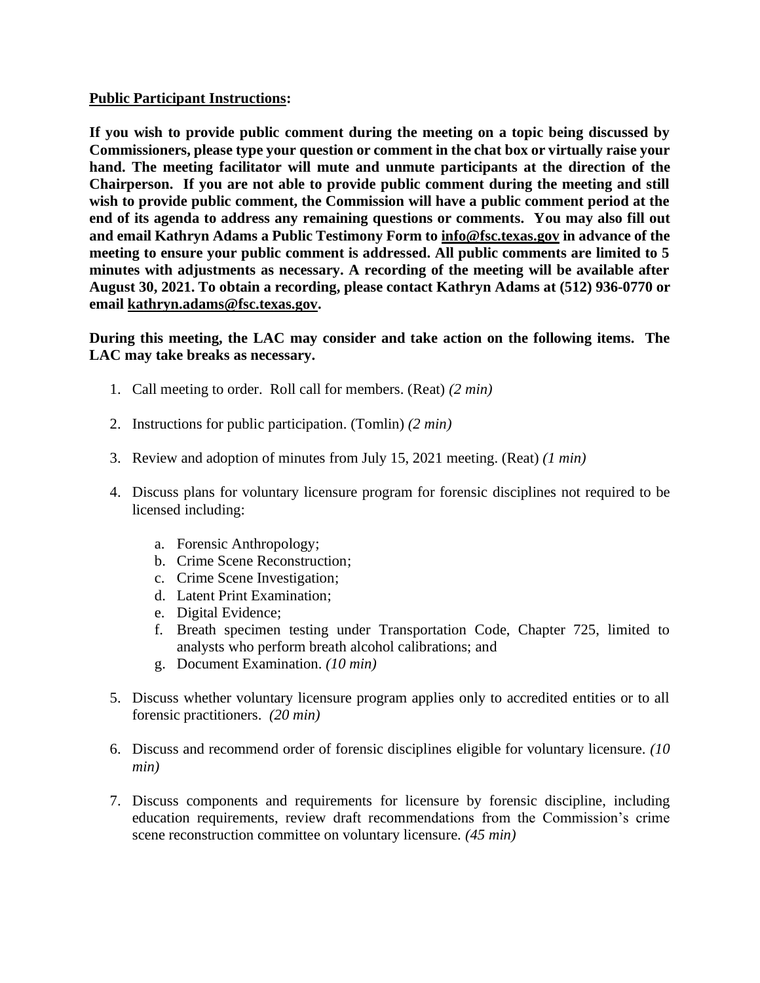## **Public Participant Instructions:**

**If you wish to provide public comment during the meeting on a topic being discussed by Commissioners, please type your question or comment in the chat box or virtually raise your hand. The meeting facilitator will mute and unmute participants at the direction of the Chairperson. If you are not able to provide public comment during the meeting and still wish to provide public comment, the Commission will have a public comment period at the end of its agenda to address any remaining questions or comments. You may also fill out and email Kathryn Adams a Public Testimony Form to [info@fsc.texas.gov](mailto:info@fsc.texas.gov) in advance of the meeting to ensure your public comment is addressed. All public comments are limited to 5 minutes with adjustments as necessary. A recording of the meeting will be available after August 30, 2021. To obtain a recording, please contact Kathryn Adams at (512) 936-0770 or email [kathryn.adams@fsc.texas.gov.](mailto:info@fsc.texas.gov)**

## **During this meeting, the LAC may consider and take action on the following items. The LAC may take breaks as necessary.**

- 1. Call meeting to order. Roll call for members. (Reat) *(2 min)*
- 2. Instructions for public participation. (Tomlin) *(2 min)*
- 3. Review and adoption of minutes from July 15, 2021 meeting. (Reat) *(1 min)*
- 4. Discuss plans for voluntary licensure program for forensic disciplines not required to be licensed including:
	- a. Forensic Anthropology;
	- b. Crime Scene Reconstruction;
	- c. Crime Scene Investigation;
	- d. Latent Print Examination;
	- e. Digital Evidence;
	- f. Breath specimen testing under Transportation Code, Chapter 725, limited to analysts who perform breath alcohol calibrations; and
	- g. Document Examination. *(10 min)*
- 5. Discuss whether voluntary licensure program applies only to accredited entities or to all forensic practitioners. *(20 min)*
- 6. Discuss and recommend order of forensic disciplines eligible for voluntary licensure. *(10 min)*
- 7. Discuss components and requirements for licensure by forensic discipline, including education requirements, review draft recommendations from the Commission's crime scene reconstruction committee on voluntary licensure. *(45 min)*